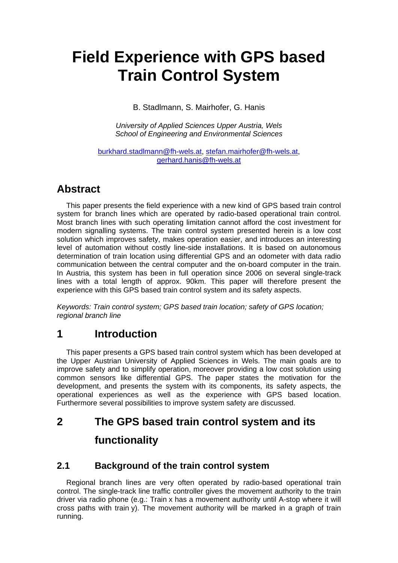# **Field Experience with GPS based Train Control System**

B. Stadlmann, S. Mairhofer, G. Hanis

*University of Applied Sciences Upper Austria, Wels School of Engineering and Environmental Sciences* 

burkhard.stadlmann@fh-wels.at, stefan.mairhofer@fh-wels.at, gerhard.hanis@fh-wels.at

## **Abstract**

This paper presents the field experience with a new kind of GPS based train control system for branch lines which are operated by radio-based operational train control. Most branch lines with such operating limitation cannot afford the cost investment for modern signalling systems. The train control system presented herein is a low cost solution which improves safety, makes operation easier, and introduces an interesting level of automation without costly line-side installations. It is based on autonomous determination of train location using differential GPS and an odometer with data radio communication between the central computer and the on-board computer in the train. In Austria, this system has been in full operation since 2006 on several single-track lines with a total length of approx. 90km. This paper will therefore present the experience with this GPS based train control system and its safety aspects.

*Keywords: Train control system; GPS based train location; safety of GPS location; regional branch line* 

## **1 Introduction**

This paper presents a GPS based train control system which has been developed at the Upper Austrian University of Applied Sciences in Wels. The main goals are to improve safety and to simplify operation, moreover providing a low cost solution using common sensors like differential GPS. The paper states the motivation for the development, and presents the system with its components, its safety aspects, the operational experiences as well as the experience with GPS based location. Furthermore several possibilities to improve system safety are discussed.

# **2 The GPS based train control system and its functionality**

#### **2.1 Background of the train control system**

Regional branch lines are very often operated by radio-based operational train control. The single-track line traffic controller gives the movement authority to the train driver via radio phone (e.g.: Train x has a movement authority until A-stop where it will cross paths with train y). The movement authority will be marked in a graph of train running.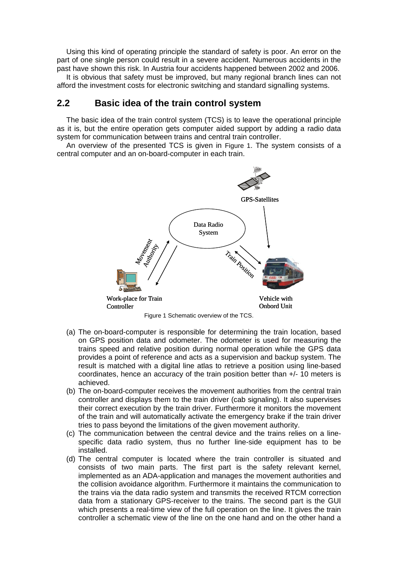Using this kind of operating principle the standard of safety is poor. An error on the part of one single person could result in a severe accident. Numerous accidents in the past have shown this risk. In Austria four accidents happened between 2002 and 2006.

It is obvious that safety must be improved, but many regional branch lines can not afford the investment costs for electronic switching and standard signalling systems.

#### **2.2 Basic idea of the train control system**

The basic idea of the train control system (TCS) is to leave the operational principle as it is, but the entire operation gets computer aided support by adding a radio data system for communication between trains and central train controller.

An overview of the presented TCS is given in Figure 1. The system consists of a central computer and an on-board-computer in each train.



Figure 1 Schematic overview of the TCS.

- (a) The on-board-computer is responsible for determining the train location, based on GPS position data and odometer. The odometer is used for measuring the trains speed and relative position during normal operation while the GPS data provides a point of reference and acts as a supervision and backup system. The result is matched with a digital line atlas to retrieve a position using line-based coordinates, hence an accuracy of the train position better than +/- 10 meters is achieved.
- (b) The on-board-computer receives the movement authorities from the central train controller and displays them to the train driver (cab signaling). It also supervises their correct execution by the train driver. Furthermore it monitors the movement of the train and will automatically activate the emergency brake if the train driver tries to pass beyond the limitations of the given movement authority.
- (c) The communication between the central device and the trains relies on a linespecific data radio system, thus no further line-side equipment has to be installed.
- (d) The central computer is located where the train controller is situated and consists of two main parts. The first part is the safety relevant kernel, implemented as an ADA-application and manages the movement authorities and the collision avoidance algorithm. Furthermore it maintains the communication to the trains via the data radio system and transmits the received RTCM correction data from a stationary GPS-receiver to the trains. The second part is the GUI which presents a real-time view of the full operation on the line. It gives the train controller a schematic view of the line on the one hand and on the other hand a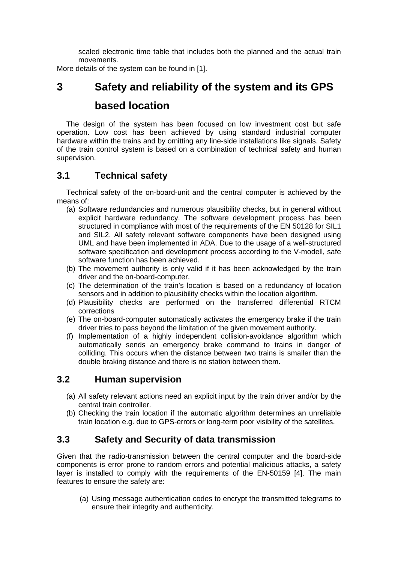scaled electronic time table that includes both the planned and the actual train movements.

More details of the system can be found in [1].

# **3 Safety and reliability of the system and its GPS based location**

The design of the system has been focused on low investment cost but safe operation. Low cost has been achieved by using standard industrial computer hardware within the trains and by omitting any line-side installations like signals. Safety of the train control system is based on a combination of technical safety and human supervision.

### **3.1 Technical safety**

Technical safety of the on-board-unit and the central computer is achieved by the means of:

- (a) Software redundancies and numerous plausibility checks, but in general without explicit hardware redundancy. The software development process has been structured in compliance with most of the requirements of the EN 50128 for SIL1 and SIL2. All safety relevant software components have been designed using UML and have been implemented in ADA. Due to the usage of a well-structured software specification and development process according to the V-modell, safe software function has been achieved.
- (b) The movement authority is only valid if it has been acknowledged by the train driver and the on-board-computer.
- (c) The determination of the train's location is based on a redundancy of location sensors and in addition to plausibility checks within the location algorithm.
- (d) Plausibility checks are performed on the transferred differential RTCM corrections
- (e) The on-board-computer automatically activates the emergency brake if the train driver tries to pass beyond the limitation of the given movement authority.
- (f) Implementation of a highly independent collision-avoidance algorithm which automatically sends an emergency brake command to trains in danger of colliding. This occurs when the distance between two trains is smaller than the double braking distance and there is no station between them.

#### **3.2 Human supervision**

- (a) All safety relevant actions need an explicit input by the train driver and/or by the central train controller.
- (b) Checking the train location if the automatic algorithm determines an unreliable train location e.g. due to GPS-errors or long-term poor visibility of the satellites.

### **3.3 Safety and Security of data transmission**

Given that the radio-transmission between the central computer and the board-side components is error prone to random errors and potential malicious attacks, a safety layer is installed to comply with the requirements of the EN-50159 [4]. The main features to ensure the safety are:

(a) Using message authentication codes to encrypt the transmitted telegrams to ensure their integrity and authenticity.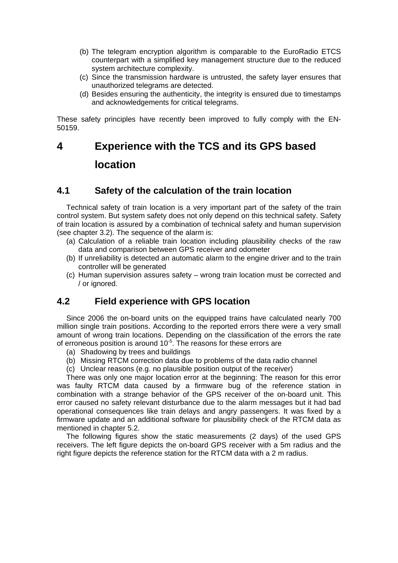- (b) The telegram encryption algorithm is comparable to the EuroRadio ETCS counterpart with a simplified key management structure due to the reduced system architecture complexity.
- (c) Since the transmission hardware is untrusted, the safety layer ensures that unauthorized telegrams are detected.
- (d) Besides ensuring the authenticity, the integrity is ensured due to timestamps and acknowledgements for critical telegrams.

These safety principles have recently been improved to fully comply with the EN-50159.

# **4 Experience with the TCS and its GPS based location**

#### **4.1 Safety of the calculation of the train location**

Technical safety of train location is a very important part of the safety of the train control system. But system safety does not only depend on this technical safety. Safety of train location is assured by a combination of technical safety and human supervision (see chapter 3.2). The sequence of the alarm is:

- (a) Calculation of a reliable train location including plausibility checks of the raw data and comparison between GPS receiver and odometer
- (b) If unreliability is detected an automatic alarm to the engine driver and to the train controller will be generated
- (c) Human supervision assures safety wrong train location must be corrected and / or ignored.

#### **4.2 Field experience with GPS location**

Since 2006 the on-board units on the equipped trains have calculated nearly 700 million single train positions. According to the reported errors there were a very small amount of wrong train locations. Depending on the classification of the errors the rate of erroneous position is around  $10<sup>-5</sup>$ . The reasons for these errors are

- (a) Shadowing by trees and buildings
- (b) Missing RTCM correction data due to problems of the data radio channel
- (c) Unclear reasons (e.g. no plausible position output of the receiver)

There was only one major location error at the beginning: The reason for this error was faulty RTCM data caused by a firmware bug of the reference station in combination with a strange behavior of the GPS receiver of the on-board unit. This error caused no safety relevant disturbance due to the alarm messages but it had bad operational consequences like train delays and angry passengers. It was fixed by a firmware update and an additional software for plausibility check of the RTCM data as mentioned in chapter 5.2.

The following figures show the static measurements (2 days) of the used GPS receivers. The left figure depicts the on-board GPS receiver with a 5m radius and the right figure depicts the reference station for the RTCM data with a 2 m radius.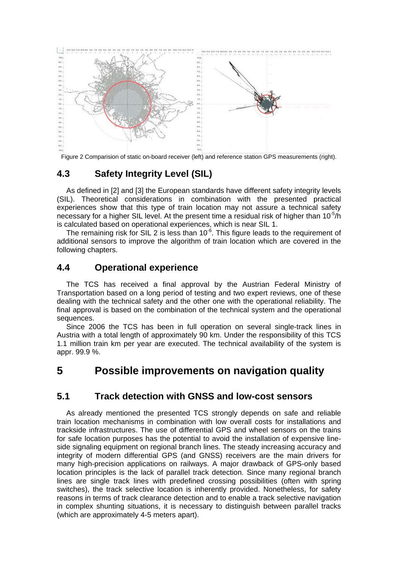

Figure 2 Comparision of static on-board receiver (left) and reference station GPS measurements (right).

### **4.3 Safety Integrity Level (SIL)**

As defined in [2] and [3] the European standards have different safety integrity levels (SIL). Theoretical considerations in combination with the presented practical experiences show that this type of train location may not assure a technical safety necessary for a higher SIL level. At the present time a residual risk of higher than 10<sup>-5</sup>/h is calculated based on operational experiences, which is near SIL 1.

The remaining risk for SIL 2 is less than  $10^{-6}$ . This figure leads to the requirement of additional sensors to improve the algorithm of train location which are covered in the following chapters.

#### **4.4 Operational experience**

The TCS has received a final approval by the Austrian Federal Ministry of Transportation based on a long period of testing and two expert reviews, one of these dealing with the technical safety and the other one with the operational reliability. The final approval is based on the combination of the technical system and the operational sequences.

Since 2006 the TCS has been in full operation on several single-track lines in Austria with a total length of approximately 90 km. Under the responsibility of this TCS 1.1 million train km per year are executed. The technical availability of the system is appr. 99.9 %.

## **5 Possible improvements on navigation quality**

### **5.1 Track detection with GNSS and low-cost sensors**

As already mentioned the presented TCS strongly depends on safe and reliable train location mechanisms in combination with low overall costs for installations and trackside infrastructures. The use of differential GPS and wheel sensors on the trains for safe location purposes has the potential to avoid the installation of expensive lineside signaling equipment on regional branch lines. The steady increasing accuracy and integrity of modern differential GPS (and GNSS) receivers are the main drivers for many high-precision applications on railways. A major drawback of GPS-only based location principles is the lack of parallel track detection. Since many regional branch lines are single track lines with predefined crossing possibilities (often with spring switches), the track selective location is inherently provided. Nonetheless, for safety reasons in terms of track clearance detection and to enable a track selective navigation in complex shunting situations, it is necessary to distinguish between parallel tracks (which are approximately 4-5 meters apart).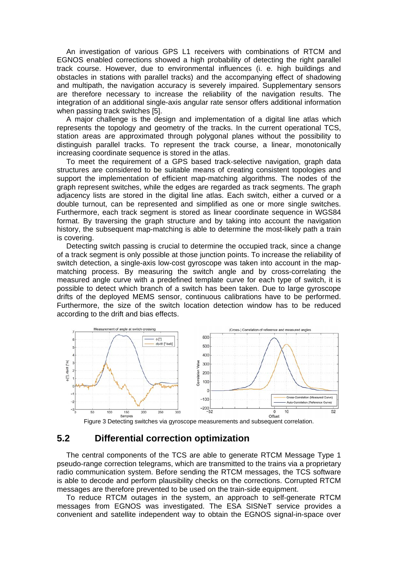An investigation of various GPS L1 receivers with combinations of RTCM and EGNOS enabled corrections showed a high probability of detecting the right parallel track course. However, due to environmental influences (i. e. high buildings and obstacles in stations with parallel tracks) and the accompanying effect of shadowing and multipath, the navigation accuracy is severely impaired. Supplementary sensors are therefore necessary to increase the reliability of the navigation results. The integration of an additional single-axis angular rate sensor offers additional information when passing track switches [5].

A major challenge is the design and implementation of a digital line atlas which represents the topology and geometry of the tracks. In the current operational TCS, station areas are approximated through polygonal planes without the possibility to distinguish parallel tracks. To represent the track course, a linear, monotonically increasing coordinate sequence is stored in the atlas.

To meet the requirement of a GPS based track-selective navigation, graph data structures are considered to be suitable means of creating consistent topologies and support the implementation of efficient map-matching algorithms. The nodes of the graph represent switches, while the edges are regarded as track segments. The graph adjacency lists are stored in the digital line atlas. Each switch, either a curved or a double turnout, can be represented and simplified as one or more single switches. Furthermore, each track segment is stored as linear coordinate sequence in WGS84 format. By traversing the graph structure and by taking into account the navigation history, the subsequent map-matching is able to determine the most-likely path a train is covering.

Detecting switch passing is crucial to determine the occupied track, since a change of a track segment is only possible at those junction points. To increase the reliability of switch detection, a single-axis low-cost gyroscope was taken into account in the mapmatching process. By measuring the switch angle and by cross-correlating the measured angle curve with a predefined template curve for each type of switch, it is possible to detect which branch of a switch has been taken. Due to large gyroscope drifts of the deployed MEMS sensor, continuous calibrations have to be performed. Furthermore, the size of the switch location detection window has to be reduced according to the drift and bias effects.





#### **5.2 Differential correction optimization**

The central components of the TCS are able to generate RTCM Message Type 1 pseudo-range correction telegrams, which are transmitted to the trains via a proprietary radio communication system. Before sending the RTCM messages, the TCS software is able to decode and perform plausibility checks on the corrections. Corrupted RTCM messages are therefore prevented to be used on the train-side equipment.

To reduce RTCM outages in the system, an approach to self-generate RTCM messages from EGNOS was investigated. The ESA SISNeT service provides a convenient and satellite independent way to obtain the EGNOS signal-in-space over